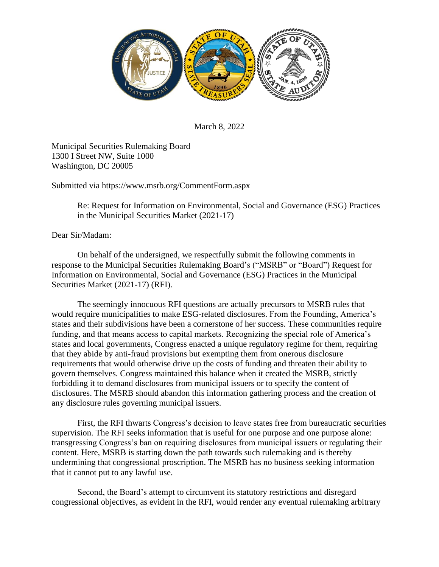

March 8, 2022

Municipal Securities Rulemaking Board 1300 I Street NW, Suite 1000 Washington, DC 20005

Submitted via https://www.msrb.org/CommentForm.aspx

Re: Request for Information on Environmental, Social and Governance (ESG) Practices in the Municipal Securities Market (2021-17)

Dear Sir/Madam:

On behalf of the undersigned, we respectfully submit the following comments in response to the Municipal Securities Rulemaking Board's ("MSRB" or "Board") Request for Information on Environmental, Social and Governance (ESG) Practices in the Municipal Securities Market (2021-17) (RFI).

The seemingly innocuous RFI questions are actually precursors to MSRB rules that would require municipalities to make ESG-related disclosures. From the Founding, America's states and their subdivisions have been a cornerstone of her success. These communities require funding, and that means access to capital markets. Recognizing the special role of America's states and local governments, Congress enacted a unique regulatory regime for them, requiring that they abide by anti-fraud provisions but exempting them from onerous disclosure requirements that would otherwise drive up the costs of funding and threaten their ability to govern themselves. Congress maintained this balance when it created the MSRB, strictly forbidding it to demand disclosures from municipal issuers or to specify the content of disclosures. The MSRB should abandon this information gathering process and the creation of any disclosure rules governing municipal issuers.

First, the RFI thwarts Congress's decision to leave states free from bureaucratic securities supervision. The RFI seeks information that is useful for one purpose and one purpose alone: transgressing Congress's ban on requiring disclosures from municipal issuers or regulating their content. Here, MSRB is starting down the path towards such rulemaking and is thereby undermining that congressional proscription. The MSRB has no business seeking information that it cannot put to any lawful use.

Second, the Board's attempt to circumvent its statutory restrictions and disregard congressional objectives, as evident in the RFI, would render any eventual rulemaking arbitrary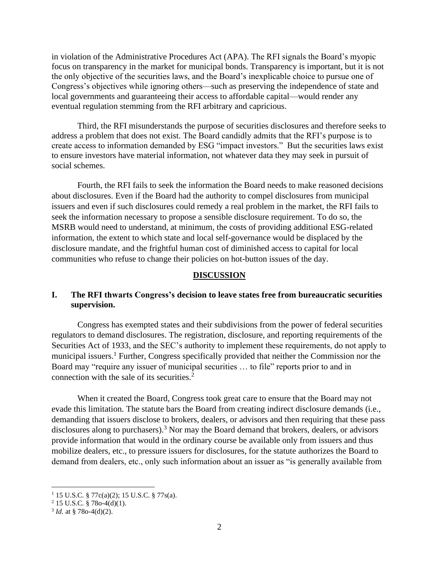in violation of the Administrative Procedures Act (APA). The RFI signals the Board's myopic focus on transparency in the market for municipal bonds. Transparency is important, but it is not the only objective of the securities laws, and the Board's inexplicable choice to pursue one of Congress's objectives while ignoring others—such as preserving the independence of state and local governments and guaranteeing their access to affordable capital—would render any eventual regulation stemming from the RFI arbitrary and capricious.

Third, the RFI misunderstands the purpose of securities disclosures and therefore seeks to address a problem that does not exist. The Board candidly admits that the RFI's purpose is to create access to information demanded by ESG "impact investors." But the securities laws exist to ensure investors have material information, not whatever data they may seek in pursuit of social schemes.

Fourth, the RFI fails to seek the information the Board needs to make reasoned decisions about disclosures. Even if the Board had the authority to compel disclosures from municipal issuers and even if such disclosures could remedy a real problem in the market, the RFI fails to seek the information necessary to propose a sensible disclosure requirement. To do so, the MSRB would need to understand, at minimum, the costs of providing additional ESG-related information, the extent to which state and local self-governance would be displaced by the disclosure mandate, and the frightful human cost of diminished access to capital for local communities who refuse to change their policies on hot-button issues of the day.

#### **DISCUSSION**

# **I. The RFI thwarts Congress's decision to leave states free from bureaucratic securities supervision.**

Congress has exempted states and their subdivisions from the power of federal securities regulators to demand disclosures. The registration, disclosure, and reporting requirements of the Securities Act of 1933, and the SEC's authority to implement these requirements, do not apply to municipal issuers.<sup>1</sup> Further, Congress specifically provided that neither the Commission nor the Board may "require any issuer of municipal securities ... to file" reports prior to and in connection with the sale of its securities. $<sup>2</sup>$ </sup>

When it created the Board, Congress took great care to ensure that the Board may not evade this limitation. The statute bars the Board from creating indirect disclosure demands (i.e., demanding that issuers disclose to brokers, dealers, or advisors and then requiring that these pass disclosures along to purchasers).<sup>3</sup> Nor may the Board demand that brokers, dealers, or advisors provide information that would in the ordinary course be available only from issuers and thus mobilize dealers, etc., to pressure issuers for disclosures, for the statute authorizes the Board to demand from dealers, etc., only such information about an issuer as "is generally available from

 $1$  15 U.S.C. § 77c(a)(2); 15 U.S.C. § 77s(a).

 $2$  15 U.S.C. § 78o-4(d)(1).

 $3$  *Id.* at § 78o-4(d)(2).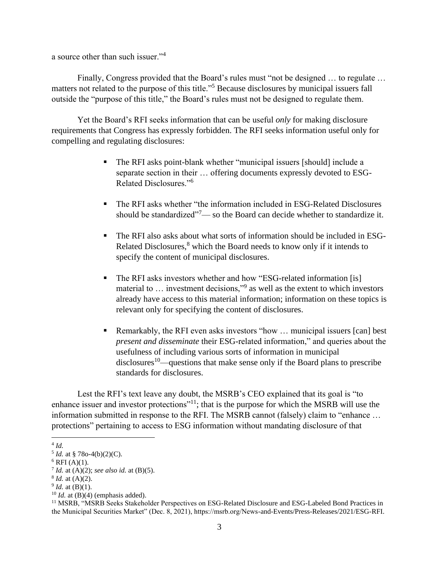a source other than such issuer."<sup>4</sup>

Finally, Congress provided that the Board's rules must "not be designed … to regulate … matters not related to the purpose of this title."<sup>5</sup> Because disclosures by municipal issuers fall outside the "purpose of this title," the Board's rules must not be designed to regulate them.

Yet the Board's RFI seeks information that can be useful *only* for making disclosure requirements that Congress has expressly forbidden. The RFI seeks information useful only for compelling and regulating disclosures:

- The RFI asks point-blank whether "municipal issuers [should] include a separate section in their … offering documents expressly devoted to ESG-Related Disclosures."<sup>6</sup>
- The RFI asks whether "the information included in ESG-Related Disclosures should be standardized<sup>"7</sup>— so the Board can decide whether to standardize it.
- The RFI also asks about what sorts of information should be included in ESG-Related Disclosures, $8$  which the Board needs to know only if it intends to specify the content of municipal disclosures.
- The RFI asks investors whether and how "ESG-related information [is] material to … investment decisions,"<sup>9</sup> as well as the extent to which investors already have access to this material information; information on these topics is relevant only for specifying the content of disclosures.
- Remarkably, the RFI even asks investors "how ... municipal issuers [can] best *present and disseminate* their ESG-related information," and queries about the usefulness of including various sorts of information in municipal  $disclosures<sup>10</sup>$ —questions that make sense only if the Board plans to prescribe standards for disclosures.

Lest the RFI's text leave any doubt, the MSRB's CEO explained that its goal is "to enhance issuer and investor protections"<sup>11</sup>; that is the purpose for which the MSRB will use the information submitted in response to the RFI. The MSRB cannot (falsely) claim to "enhance … protections" pertaining to access to ESG information without mandating disclosure of that

 $10$  *Id.* at (B)(4) (emphasis added).

<sup>4</sup> *Id.*

 $<sup>5</sup> Id.$  at § 78o-4(b)(2)(C).</sup>

 $6$  RFI (A)(1).

<sup>7</sup> *Id.* at (A)(2); *see also id.* at (B)(5).

<sup>8</sup> *Id.* at (A)(2).

 $9^9$  *Id.* at (B)(1).

<sup>&</sup>lt;sup>11</sup> MSRB, "MSRB Seeks Stakeholder Perspectives on ESG-Related Disclosure and ESG-Labeled Bond Practices in the Municipal Securities Market" (Dec. 8, 2021), https://msrb.org/News-and-Events/Press-Releases/2021/ESG-RFI.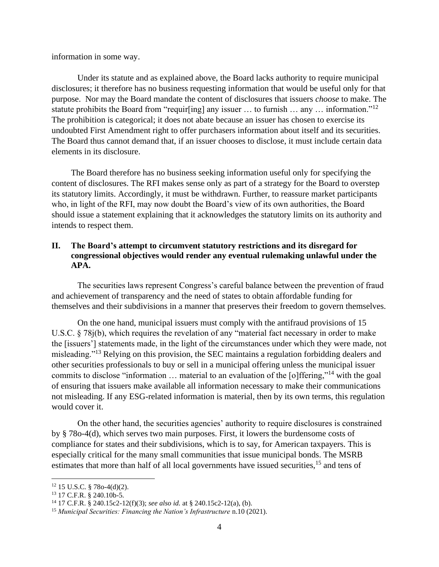information in some way.

Under its statute and as explained above, the Board lacks authority to require municipal disclosures; it therefore has no business requesting information that would be useful only for that purpose. Nor may the Board mandate the content of disclosures that issuers *choose* to make. The statute prohibits the Board from "requir[ing] any issuer ... to furnish ... any ... information."<sup>12</sup> The prohibition is categorical; it does not abate because an issuer has chosen to exercise its undoubted First Amendment right to offer purchasers information about itself and its securities. The Board thus cannot demand that, if an issuer chooses to disclose, it must include certain data elements in its disclosure.

The Board therefore has no business seeking information useful only for specifying the content of disclosures. The RFI makes sense only as part of a strategy for the Board to overstep its statutory limits. Accordingly, it must be withdrawn. Further, to reassure market participants who, in light of the RFI, may now doubt the Board's view of its own authorities, the Board should issue a statement explaining that it acknowledges the statutory limits on its authority and intends to respect them.

# **II. The Board's attempt to circumvent statutory restrictions and its disregard for congressional objectives would render any eventual rulemaking unlawful under the APA.**

The securities laws represent Congress's careful balance between the prevention of fraud and achievement of transparency and the need of states to obtain affordable funding for themselves and their subdivisions in a manner that preserves their freedom to govern themselves.

On the one hand, municipal issuers must comply with the antifraud provisions of 15 U.S.C. § 78j(b), which requires the revelation of any "material fact necessary in order to make the [issuers'] statements made, in the light of the circumstances under which they were made, not misleading."<sup>13</sup> Relying on this provision, the SEC maintains a regulation forbidding dealers and other securities professionals to buy or sell in a municipal offering unless the municipal issuer commits to disclose "information … material to an evaluation of the [o]ffering,"<sup>14</sup> with the goal of ensuring that issuers make available all information necessary to make their communications not misleading. If any ESG-related information is material, then by its own terms, this regulation would cover it.

On the other hand, the securities agencies' authority to require disclosures is constrained by § 78o-4(d), which serves two main purposes. First, it lowers the burdensome costs of compliance for states and their subdivisions, which is to say, for American taxpayers. This is especially critical for the many small communities that issue municipal bonds. The MSRB estimates that more than half of all local governments have issued securities,<sup>15</sup> and tens of

 $12$  15 U.S.C. § 78o-4(d)(2).

<sup>13</sup> 17 C.F.R. § 240.10b-5.

<sup>14</sup> 17 C.F.R. § 240.15c2-12(f)(3); *see also id.* at § 240.15c2-12(a), (b).

<sup>15</sup> *Municipal Securities: Financing the Nation's Infrastructure* n.10 (2021).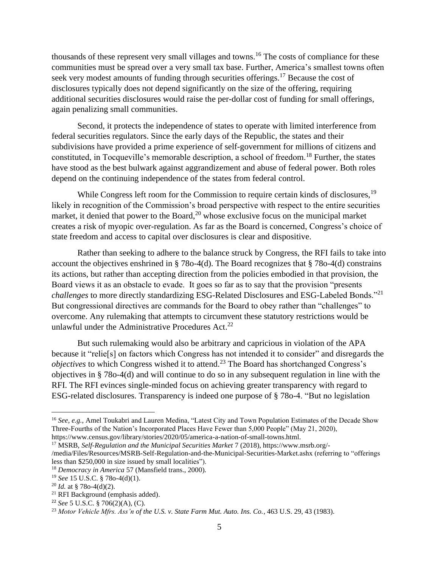thousands of these represent very small villages and towns.<sup>16</sup> The costs of compliance for these communities must be spread over a very small tax base. Further, America's smallest towns often seek very modest amounts of funding through securities offerings.<sup>17</sup> Because the cost of disclosures typically does not depend significantly on the size of the offering, requiring additional securities disclosures would raise the per-dollar cost of funding for small offerings, again penalizing small communities.

Second, it protects the independence of states to operate with limited interference from federal securities regulators. Since the early days of the Republic, the states and their subdivisions have provided a prime experience of self-government for millions of citizens and constituted, in Tocqueville's memorable description, a school of freedom.<sup>18</sup> Further, the states have stood as the best bulwark against aggrandizement and abuse of federal power. Both roles depend on the continuing independence of the states from federal control.

While Congress left room for the Commission to require certain kinds of disclosures,<sup>19</sup> likely in recognition of the Commission's broad perspective with respect to the entire securities market, it denied that power to the Board, $2<sup>0</sup>$  whose exclusive focus on the municipal market creates a risk of myopic over-regulation. As far as the Board is concerned, Congress's choice of state freedom and access to capital over disclosures is clear and dispositive.

Rather than seeking to adhere to the balance struck by Congress, the RFI fails to take into account the objectives enshrined in § 78o-4(d). The Board recognizes that § 78o-4(d) constrains its actions, but rather than accepting direction from the policies embodied in that provision, the Board views it as an obstacle to evade. It goes so far as to say that the provision "presents *challenges* to more directly standardizing ESG-Related Disclosures and ESG-Labeled Bonds."<sup>21</sup> But congressional directives are commands for the Board to obey rather than "challenges" to overcome. Any rulemaking that attempts to circumvent these statutory restrictions would be unlawful under the Administrative Procedures Act.<sup>22</sup>

But such rulemaking would also be arbitrary and capricious in violation of the APA because it "relie[s] on factors which Congress has not intended it to consider" and disregards the *objectives* to which Congress wished it to attend.<sup>23</sup> The Board has shortchanged Congress's objectives in § 78o-4(d) and will continue to do so in any subsequent regulation in line with the RFI. The RFI evinces single-minded focus on achieving greater transparency with regard to ESG-related disclosures. Transparency is indeed one purpose of § 78o-4. "But no legislation

<sup>&</sup>lt;sup>16</sup> See, e.g., Amel Toukabri and Lauren Medina, "Latest City and Town Population Estimates of the Decade Show Three-Fourths of the Nation's Incorporated Places Have Fewer than 5,000 People" (May 21, 2020), https://www.census.gov/library/stories/2020/05/america-a-nation-of-small-towns.html.

<sup>17</sup> MSRB, *Self-Regulation and the Municipal Securities Market* 7 (2018), https://www.msrb.org/- /media/Files/Resources/MSRB-Self-Regulation-and-the-Municipal-Securities-Market.ashx (referring to "offerings less than \$250,000 in size issued by small localities").

<sup>18</sup> *Democracy in America* 57 (Mansfield trans., 2000).

<sup>19</sup> *See* 15 U.S.C. § 78o-4(d)(1).

<sup>20</sup> *Id.* at § 78o-4(d)(2).

<sup>21</sup> RFI Background (emphasis added).

<sup>22</sup> *See* 5 U.S.C. § 706(2)(A), (C).

<sup>23</sup> *Motor Vehicle Mfrs. Ass'n of the U.S. v. State Farm Mut. Auto. Ins. Co.*, 463 U.S. 29, 43 (1983).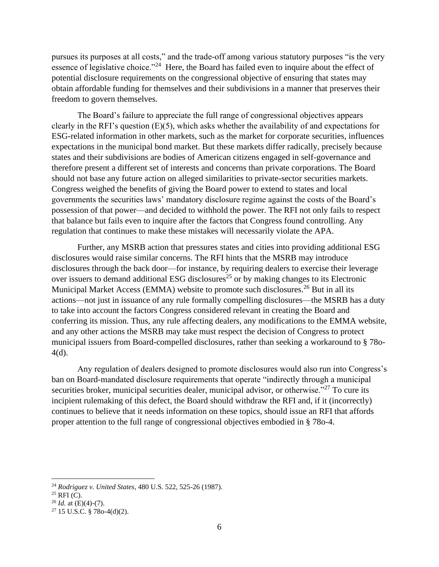pursues its purposes at all costs," and the trade-off among various statutory purposes "is the very essence of legislative choice."<sup>24</sup> Here, the Board has failed even to inquire about the effect of potential disclosure requirements on the congressional objective of ensuring that states may obtain affordable funding for themselves and their subdivisions in a manner that preserves their freedom to govern themselves.

The Board's failure to appreciate the full range of congressional objectives appears clearly in the RFI's question (E)(5), which asks whether the availability of and expectations for ESG-related information in other markets, such as the market for corporate securities, influences expectations in the municipal bond market. But these markets differ radically, precisely because states and their subdivisions are bodies of American citizens engaged in self-governance and therefore present a different set of interests and concerns than private corporations. The Board should not base any future action on alleged similarities to private-sector securities markets. Congress weighed the benefits of giving the Board power to extend to states and local governments the securities laws' mandatory disclosure regime against the costs of the Board's possession of that power—and decided to withhold the power. The RFI not only fails to respect that balance but fails even to inquire after the factors that Congress found controlling. Any regulation that continues to make these mistakes will necessarily violate the APA.

Further, any MSRB action that pressures states and cities into providing additional ESG disclosures would raise similar concerns. The RFI hints that the MSRB may introduce disclosures through the back door—for instance, by requiring dealers to exercise their leverage over issuers to demand additional ESG disclosures<sup>25</sup> or by making changes to its Electronic Municipal Market Access (EMMA) website to promote such disclosures.<sup>26</sup> But in all its actions—not just in issuance of any rule formally compelling disclosures—the MSRB has a duty to take into account the factors Congress considered relevant in creating the Board and conferring its mission. Thus, any rule affecting dealers, any modifications to the EMMA website, and any other actions the MSRB may take must respect the decision of Congress to protect municipal issuers from Board-compelled disclosures, rather than seeking a workaround to § 78o-4(d).

Any regulation of dealers designed to promote disclosures would also run into Congress's ban on Board-mandated disclosure requirements that operate "indirectly through a municipal securities broker, municipal securities dealer, municipal advisor, or otherwise."<sup>27</sup> To cure its incipient rulemaking of this defect, the Board should withdraw the RFI and, if it (incorrectly) continues to believe that it needs information on these topics, should issue an RFI that affords proper attention to the full range of congressional objectives embodied in § 78o-4.

<sup>24</sup> *Rodriguez v. United States*, 480 U.S. 522, 525-26 (1987).

 $25$  RFI (C).

<sup>26</sup> *Id.* at (E)(4)-(7).

 $27$  15 U.S.C. § 78o-4(d)(2).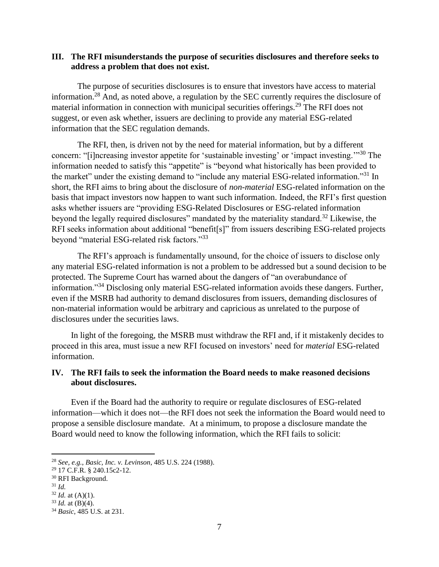### **III. The RFI misunderstands the purpose of securities disclosures and therefore seeks to address a problem that does not exist.**

The purpose of securities disclosures is to ensure that investors have access to material information.<sup>28</sup> And, as noted above, a regulation by the SEC currently requires the disclosure of material information in connection with municipal securities offerings.<sup>29</sup> The RFI does not suggest, or even ask whether, issuers are declining to provide any material ESG-related information that the SEC regulation demands.

The RFI, then, is driven not by the need for material information, but by a different concern: "[i]ncreasing investor appetite for 'sustainable investing' or 'impact investing.'"<sup>30</sup> The information needed to satisfy this "appetite" is "beyond what historically has been provided to the market" under the existing demand to "include any material ESG-related information."<sup>31</sup> In short, the RFI aims to bring about the disclosure of *non-material* ESG-related information on the basis that impact investors now happen to want such information. Indeed, the RFI's first question asks whether issuers are "providing ESG-Related Disclosures or ESG-related information beyond the legally required disclosures" mandated by the materiality standard.<sup>32</sup> Likewise, the RFI seeks information about additional "benefit[s]" from issuers describing ESG-related projects beyond "material ESG-related risk factors."<sup>33</sup>

The RFI's approach is fundamentally unsound, for the choice of issuers to disclose only any material ESG-related information is not a problem to be addressed but a sound decision to be protected. The Supreme Court has warned about the dangers of "an overabundance of information."<sup>34</sup> Disclosing only material ESG-related information avoids these dangers. Further, even if the MSRB had authority to demand disclosures from issuers, demanding disclosures of non-material information would be arbitrary and capricious as unrelated to the purpose of disclosures under the securities laws.

In light of the foregoing, the MSRB must withdraw the RFI and, if it mistakenly decides to proceed in this area, must issue a new RFI focused on investors' need for *material* ESG-related information.

# **IV. The RFI fails to seek the information the Board needs to make reasoned decisions about disclosures.**

Even if the Board had the authority to require or regulate disclosures of ESG-related information—which it does not—the RFI does not seek the information the Board would need to propose a sensible disclosure mandate. At a minimum, to propose a disclosure mandate the Board would need to know the following information, which the RFI fails to solicit:

<sup>31</sup> *Id.*

<sup>28</sup> *See, e.g.*, *Basic, Inc. v. Levinson*, 485 U.S. 224 (1988).

<sup>29</sup> 17 C.F.R. § 240.15c2-12.

<sup>30</sup> RFI Background.

 $32$  *Id.* at (A)(1).

 $33$  *Id.* at (B)(4).

<sup>34</sup> *Basic*, 485 U.S. at 231.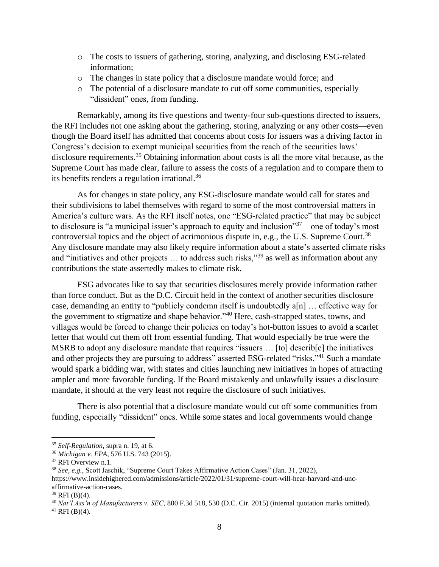- o The costs to issuers of gathering, storing, analyzing, and disclosing ESG-related information;
- o The changes in state policy that a disclosure mandate would force; and
- o The potential of a disclosure mandate to cut off some communities, especially "dissident" ones, from funding.

Remarkably, among its five questions and twenty-four sub-questions directed to issuers, the RFI includes not one asking about the gathering, storing, analyzing or any other costs—even though the Board itself has admitted that concerns about costs for issuers was a driving factor in Congress's decision to exempt municipal securities from the reach of the securities laws' disclosure requirements.<sup>35</sup> Obtaining information about costs is all the more vital because, as the Supreme Court has made clear, failure to assess the costs of a regulation and to compare them to its benefits renders a regulation irrational.<sup>36</sup>

As for changes in state policy, any ESG-disclosure mandate would call for states and their subdivisions to label themselves with regard to some of the most controversial matters in America's culture wars. As the RFI itself notes, one "ESG-related practice" that may be subject to disclosure is "a municipal issuer's approach to equity and inclusion"<sup>37</sup>—one of today's most controversial topics and the object of acrimonious dispute in, e.g., the U.S. Supreme Court.<sup>38</sup> Any disclosure mandate may also likely require information about a state's asserted climate risks and "initiatives and other projects ... to address such risks,"<sup>39</sup> as well as information about any contributions the state assertedly makes to climate risk.

ESG advocates like to say that securities disclosures merely provide information rather than force conduct. But as the D.C. Circuit held in the context of another securities disclosure case, demanding an entity to "publicly condemn itself is undoubtedly a[n] … effective way for the government to stigmatize and shape behavior."<sup>40</sup> Here, cash-strapped states, towns, and villages would be forced to change their policies on today's hot-button issues to avoid a scarlet letter that would cut them off from essential funding. That would especially be true were the MSRB to adopt any disclosure mandate that requires "issuers ... [to] describ[e] the initiatives and other projects they are pursuing to address" asserted ESG-related "risks."<sup>41</sup> Such a mandate would spark a bidding war, with states and cities launching new initiatives in hopes of attracting ampler and more favorable funding. If the Board mistakenly and unlawfully issues a disclosure mandate, it should at the very least not require the disclosure of such initiatives.

There is also potential that a disclosure mandate would cut off some communities from funding, especially "dissident" ones. While some states and local governments would change

<sup>35</sup> *Self-Regulation*, supra n. 19, at 6.

<sup>36</sup> *Michigan v. EPA*, 576 U.S. 743 (2015).

<sup>&</sup>lt;sup>37</sup> RFI Overview n.1.

<sup>38</sup> *See, e.g.*, Scott Jaschik, "Supreme Court Takes Affirmative Action Cases" (Jan. 31, 2022), https://www.insidehighered.com/admissions/article/2022/01/31/supreme-court-will-hear-harvard-and-uncaffirmative-action-cases.

 $39$  RFI (B)(4).

<sup>40</sup> *Nat'l Ass'n of Manufacturers v. SEC*, 800 F.3d 518, 530 (D.C. Cir. 2015) (internal quotation marks omitted).

 $41$  RFI (B)(4).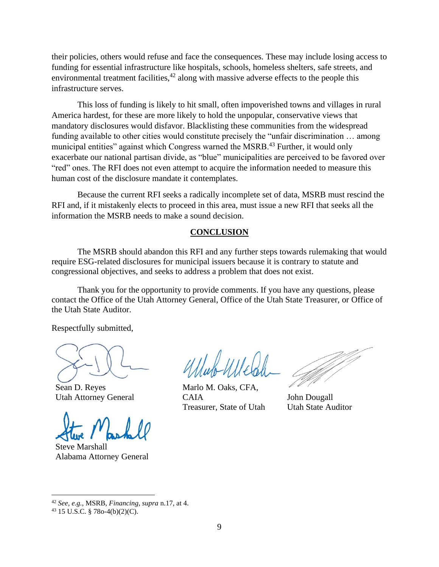their policies, others would refuse and face the consequences. These may include losing access to funding for essential infrastructure like hospitals, schools, homeless shelters, safe streets, and environmental treatment facilities,  $42$  along with massive adverse effects to the people this infrastructure serves.

This loss of funding is likely to hit small, often impoverished towns and villages in rural America hardest, for these are more likely to hold the unpopular, conservative views that mandatory disclosures would disfavor. Blacklisting these communities from the widespread funding available to other cities would constitute precisely the "unfair discrimination … among municipal entities" against which Congress warned the MSRB.<sup>43</sup> Further, it would only exacerbate our national partisan divide, as "blue" municipalities are perceived to be favored over "red" ones. The RFI does not even attempt to acquire the information needed to measure this human cost of the disclosure mandate it contemplates.

Because the current RFI seeks a radically incomplete set of data, MSRB must rescind the RFI and, if it mistakenly elects to proceed in this area, must issue a new RFI that seeks all the information the MSRB needs to make a sound decision.

### **CONCLUSION**

The MSRB should abandon this RFI and any further steps towards rulemaking that would require ESG-related disclosures for municipal issuers because it is contrary to statute and congressional objectives, and seeks to address a problem that does not exist.

Thank you for the opportunity to provide comments. If you have any questions, please contact the Office of the Utah Attorney General, Office of the Utah State Treasurer, or Office of the Utah State Auditor.

Respectfully submitted,

Sean D. Reyes Utah Attorney General

Steve Marshall Alabama Attorney General

Marlo M. Oaks, CFA, **CAIA** Treasurer, State of Utah

John Dougall Utah State Auditor

<sup>42</sup> *See, e.g.*, MSRB, *Financing*, *supra* n.17, at 4.

<sup>43</sup> 15 U.S.C. § 78o-4(b)(2)(C).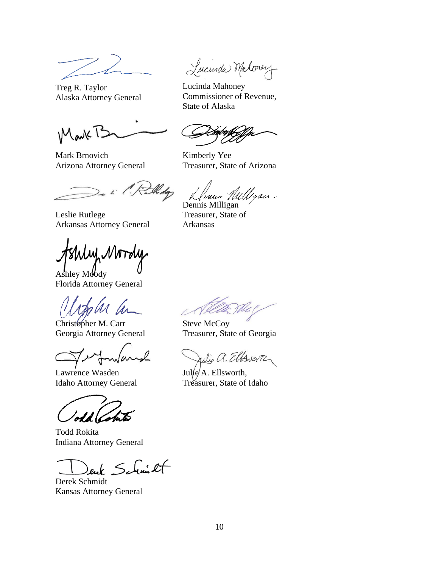Treg R. Taylor Alaska Attorney General

Mark T2

Mark Brnovich Arizona Attorney General

Midg

Leslie Rutlege Arkansas Attorney General

uf NWToly

Ashley Moody Florida Attorney General

Christopher M. Carr Georgia Attorney General

Lawrence Wasden Idaho Attorney General

Todd Rokita Indiana Attorney General

euk Schmicht

Derek Schmidt Kansas Attorney General

Lucurda Maloney

Lucinda Mahoney Commissioner of Revenue, State of Alaska

Kimberly Yee Treasurer, State of Arizona

Runn Willigan

Treasurer, State of Arkansas

Steve McCoy Treasurer, State of Georgia

Julie a. Elbrerz

Julie A. Ellsworth, Treasurer, State of Idaho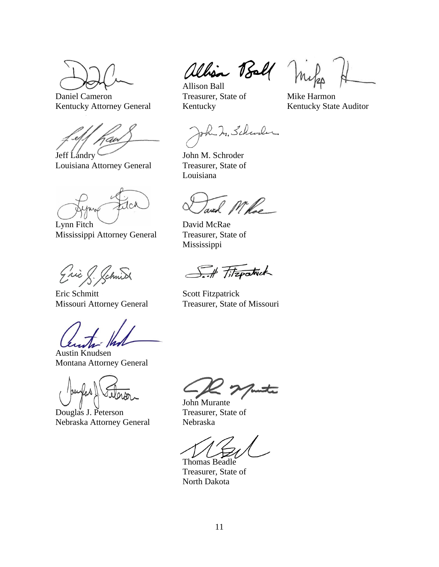Daniel Cameron Kentucky Attorney General

'av

Jeff Landry Louisiana Attorney General

tch

Lynn Fitch Mississippi Attorney General

Eric & Schnick

Eric Schmitt Missouri Attorney General

Austin Knudsen Montana Attorney General

Douglas J. Peterson Nebraska Attorney General

allison Ball Miles

Treasurer, State of Kentucky

Mike Harmon Kentucky State Auditor

John In. Schwaler

John M. Schroder Treasurer, State of Louisiana

and M'hoe

David McRae Treasurer, State of Mississippi

S. Fitzpatrick

Scott Fitzpatrick Treasurer, State of Missouri

John Murante Treasurer, State of Nebraska

Thomas Beadle Treasurer, State of North Dakota